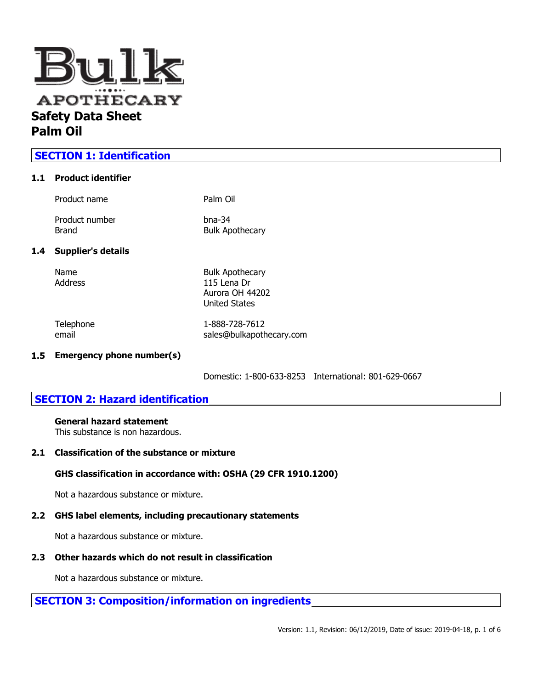

## **SECTION 1: Identification**

### **1.1 Product identifier**

|     | Product name              | Palm Oil                                                 |
|-----|---------------------------|----------------------------------------------------------|
|     | Product number<br>Brand   | $b$ na-34<br><b>Bulk Apothecary</b>                      |
| 1.4 | <b>Supplier's details</b> |                                                          |
|     | Name<br>Address           | <b>Bulk Apothecary</b><br>115 Lena Dr<br>Aurora OH 44202 |

Telephone 1-888-728-7612 email sales@bulkapothecary.com

United States

### **1.5 Emergency phone number(s)**

Domestic: 1-800-633-8253 International: 801-629-0667

## **SECTION 2: Hazard identification**

## **General hazard statement**

This substance is non hazardous.

#### **2.1 Classification of the substance or mixture**

### **GHS classification in accordance with: OSHA (29 CFR 1910.1200)**

Not a hazardous substance or mixture.

#### **2.2 GHS label elements, including precautionary statements**

Not a hazardous substance or mixture.

### **2.3 Other hazards which do not result in classification**

Not a hazardous substance or mixture.

# **SECTION 3: Composition/information on ingredients**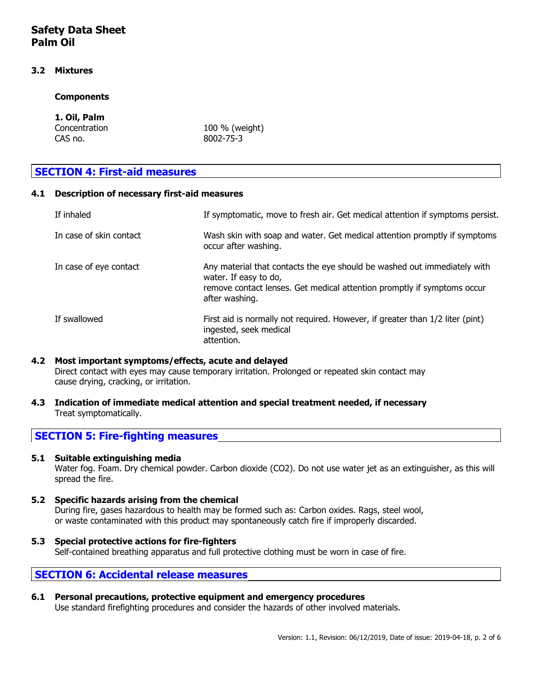#### **3.2 Mixtures**

#### **Components**

# **1. Oil, Palm**

CAS no. 8002-75-3

Concentration 100 % (weight)

# **SECTION 4: First-aid measures**

### **4.1 Description of necessary first-aid measures**

| If inhaled              | If symptomatic, move to fresh air. Get medical attention if symptoms persist.                                                                                                                  |
|-------------------------|------------------------------------------------------------------------------------------------------------------------------------------------------------------------------------------------|
| In case of skin contact | Wash skin with soap and water. Get medical attention promptly if symptoms<br>occur after washing.                                                                                              |
| In case of eye contact  | Any material that contacts the eye should be washed out immediately with<br>water. If easy to do,<br>remove contact lenses. Get medical attention promptly if symptoms occur<br>after washing. |
| If swallowed            | First aid is normally not required. However, if greater than 1/2 liter (pint)<br>ingested, seek medical<br>attention.                                                                          |

### **4.2 Most important symptoms/effects, acute and delayed** Direct contact with eyes may cause temporary irritation. Prolonged or repeated skin contact may cause drying, cracking, or irritation.

**4.3 Indication of immediate medical attention and special treatment needed, if necessary** Treat symptomatically.

## **SECTION 5: Fire-fighting measures**

### **5.1 Suitable extinguishing media**

Water fog. Foam. Dry chemical powder. Carbon dioxide (CO2). Do not use water jet as an extinguisher, as this will spread the fire.

### **5.2 Specific hazards arising from the chemical**

During fire, gases hazardous to health may be formed such as: Carbon oxides. Rags, steel wool, or waste contaminated with this product may spontaneously catch fire if improperly discarded.

#### **5.3 Special protective actions for fire-fighters**

Self-contained breathing apparatus and full protective clothing must be worn in case of fire.

## **SECTION 6: Accidental release measures**

## **6.1 Personal precautions, protective equipment and emergency procedures**

Use standard firefighting procedures and consider the hazards of other involved materials.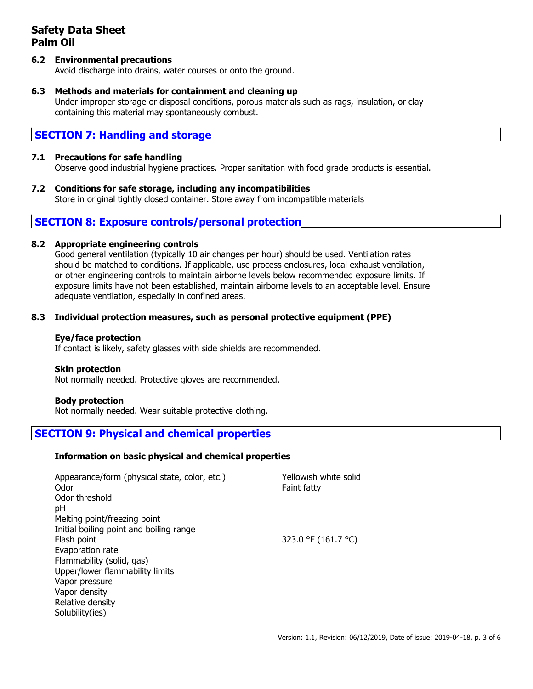### **6.2 Environmental precautions**

Avoid discharge into drains, water courses or onto the ground.

### **6.3 Methods and materials for containment and cleaning up**

Under improper storage or disposal conditions, porous materials such as rags, insulation, or clay containing this material may spontaneously combust.

## **SECTION 7: Handling and storage**

## **7.1 Precautions for safe handling**

Observe good industrial hygiene practices. Proper sanitation with food grade products is essential.

**7.2 Conditions for safe storage, including any incompatibilities** Store in original tightly closed container. Store away from incompatible materials

## **SECTION 8: Exposure controls/personal protection**

### **8.2 Appropriate engineering controls**

Good general ventilation (typically 10 air changes per hour) should be used. Ventilation rates should be matched to conditions. If applicable, use process enclosures, local exhaust ventilation, or other engineering controls to maintain airborne levels below recommended exposure limits. If exposure limits have not been established, maintain airborne levels to an acceptable level. Ensure adequate ventilation, especially in confined areas.

### **8.3 Individual protection measures, such as personal protective equipment (PPE)**

### **Eye/face protection**

If contact is likely, safety glasses with side shields are recommended.

### **Skin protection**

Not normally needed. Protective gloves are recommended.

### **Body protection**

Not normally needed. Wear suitable protective clothing.

## **SECTION 9: Physical and chemical properties**

#### **Information on basic physical and chemical properties**

| Appearance/form (physical state, color, etc.)<br>Odor | Yellowish white solid<br>Faint fatty |
|-------------------------------------------------------|--------------------------------------|
| Odor threshold                                        |                                      |
| pH                                                    |                                      |
| Melting point/freezing point                          |                                      |
| Initial boiling point and boiling range               |                                      |
| Flash point                                           | 323.0 °F (161.7 °C)                  |
| Evaporation rate                                      |                                      |
| Flammability (solid, gas)                             |                                      |
| Upper/lower flammability limits                       |                                      |
| Vapor pressure                                        |                                      |
| Vapor density                                         |                                      |
| Relative density                                      |                                      |
| Solubility(ies)                                       |                                      |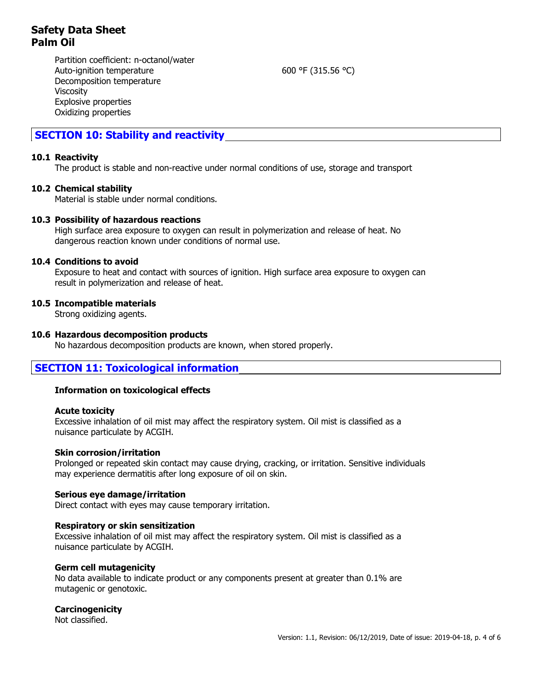Partition coefficient: n-octanol/water Auto-ignition temperature 600 °F (315.56 °C) Decomposition temperature Viscosity Explosive properties Oxidizing properties

## **SECTION 10: Stability and reactivity**

#### **10.1 Reactivity**

The product is stable and non-reactive under normal conditions of use, storage and transport

### **10.2 Chemical stability**

Material is stable under normal conditions.

#### **10.3 Possibility of hazardous reactions**

High surface area exposure to oxygen can result in polymerization and release of heat. No dangerous reaction known under conditions of normal use.

#### **10.4 Conditions to avoid**

Exposure to heat and contact with sources of ignition. High surface area exposure to oxygen can result in polymerization and release of heat.

#### **10.5 Incompatible materials**

Strong oxidizing agents.

#### **10.6 Hazardous decomposition products**

No hazardous decomposition products are known, when stored properly.

## **SECTION 11: Toxicological information**

#### **Information on toxicological effects**

#### **Acute toxicity**

Excessive inhalation of oil mist may affect the respiratory system. Oil mist is classified as a nuisance particulate by ACGIH.

#### **Skin corrosion/irritation**

Prolonged or repeated skin contact may cause drying, cracking, or irritation. Sensitive individuals may experience dermatitis after long exposure of oil on skin.

#### **Serious eye damage/irritation**

Direct contact with eyes may cause temporary irritation.

#### **Respiratory or skin sensitization**

Excessive inhalation of oil mist may affect the respiratory system. Oil mist is classified as a nuisance particulate by ACGIH.

#### **Germ cell mutagenicity**

No data available to indicate product or any components present at greater than 0.1% are mutagenic or genotoxic.

#### **Carcinogenicity**

Not classified.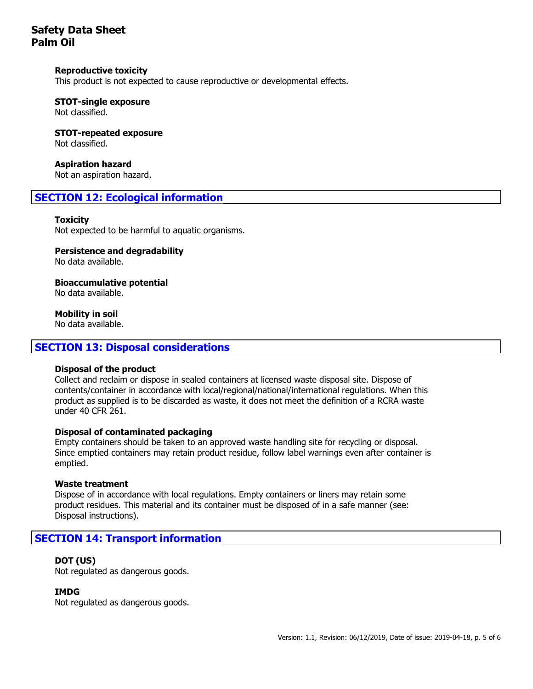#### **Reproductive toxicity**

This product is not expected to cause reproductive or developmental effects.

# **STOT-single exposure**

Not classified.

#### **STOT-repeated exposure** Not classified.

**Aspiration hazard** Not an aspiration hazard.

## **SECTION 12: Ecological information**

#### **Toxicity**

Not expected to be harmful to aquatic organisms.

#### **Persistence and degradability**

No data available.

**Bioaccumulative potential**

No data available.

**Mobility in soil**

No data available.

### **SECTION 13: Disposal considerations**

#### **Disposal of the product**

Collect and reclaim or dispose in sealed containers at licensed waste disposal site. Dispose of contents/container in accordance with local/regional/national/international regulations. When this product as supplied is to be discarded as waste, it does not meet the definition of a RCRA waste under 40 CFR 261.

#### **Disposal of contaminated packaging**

Empty containers should be taken to an approved waste handling site for recycling or disposal. Since emptied containers may retain product residue, follow label warnings even after container is emptied.

#### **Waste treatment**

Dispose of in accordance with local regulations. Empty containers or liners may retain some product residues. This material and its container must be disposed of in a safe manner (see: Disposal instructions).

## **SECTION 14: Transport information**

#### **DOT (US)**

Not regulated as dangerous goods.

#### **IMDG**

Not regulated as dangerous goods.